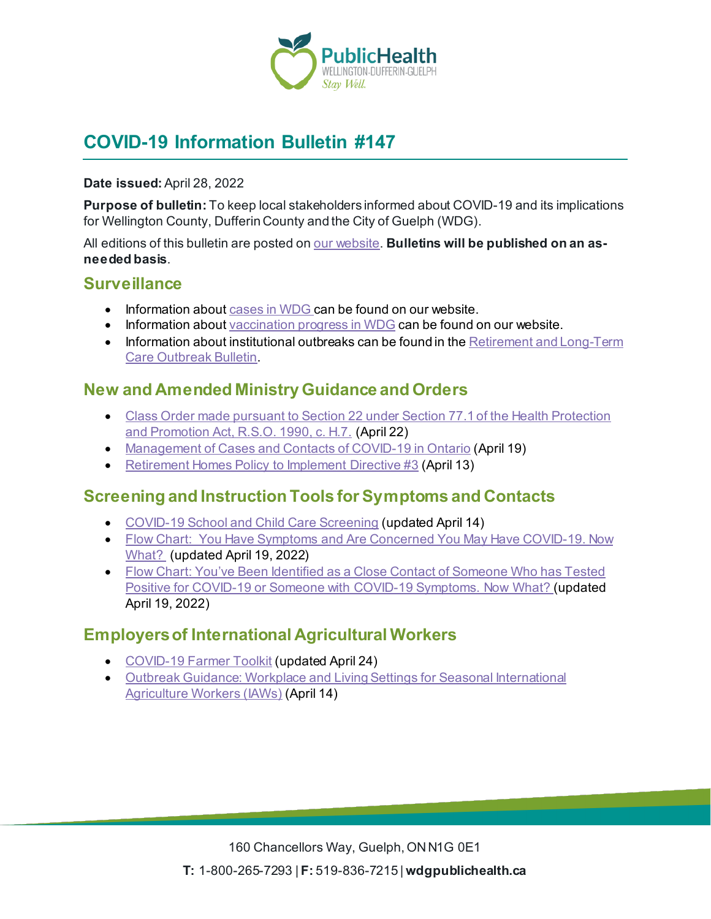

# **COVID-19 Information Bulletin #147**

#### **Date issued:** April 28, 2022

**Purpose of bulletin:** To keep local stakeholders informed about COVID-19 and its implications for Wellington County, Dufferin County and the City of Guelph (WDG).

All editions of this bulletin are posted on <u>our website</u>. **Bulletins will be published on an asneeded basis**.

### **Surveillance**

- Information about [cases in WDG](https://wdgpublichealth.ca/your-health/covid-19-information-public/status-cases-wdg) can be found on our website.
- Information abou[t vaccination progress](https://www.wdgpublichealth.ca/your-health/covid-19-information-public/covid-19-vaccine-information-public) in WDG can be found on our website.
- Information about institutional outbreaks can be found in the Retirement and Long-Term [Care Outbreak Bulletin.](https://wdgpublichealth.ca/node/1542)

## **New and Amended Ministry Guidance and Orders**

- [Class Order made pursuant to Section 22 under Section 77.1 of the Health Protection](https://www.health.gov.on.ca/en/pro/programs/publichealth/coronavirus/docs/orders/section_22_class_order_continued_mask_face_covering_requirements.pdf)  [and Promotion Act, R.S.O. 1990, c. H.7.](https://www.health.gov.on.ca/en/pro/programs/publichealth/coronavirus/docs/orders/section_22_class_order_continued_mask_face_covering_requirements.pdf) (April 22)
- [Management of Cases and Contacts of COVID-19 in Ontario](https://www.health.gov.on.ca/en/pro/programs/publichealth/coronavirus/docs/contact_mngmt/management_cases_contacts.pdf) (April 19)
- [Retirement Homes Policy to Implement Directive #3](https://www.rhra.ca/wp-content/uploads/2022/04/Retirement-Homes-Policy-to-Implement-Directive-3-April-13-2022.pdf) (April 13)

## **Screening and Instruction Tools for Symptoms and Contacts**

- [COVID-19 School and Child Care Screening](https://covid-19.ontario.ca/school-screening/) (updated April 14)
- Flow Chart: You Have Symptoms and Are Concerned You May Have COVID-19. Now [What?](https://wdgpublichealth.ca/sites/default/files/you_have_symptoms_and_are_concerned_you_may_have_covid-19._now_what.pdf) (updated April 19, 2022)
- Flow Chart: [You've Been Identified as a Close Contact of Someone Who has Tested](https://wdgpublichealth.ca/sites/default/files/youve_been_identified_as_a_close_contact_of_someone_who_has_tested_positive_for_covid-19_or_someone_with_covid-19_symptoms._now_what_0.pdf)  Positive for COVID-19 or Someone with [COVID-19 Symptoms. Now What?](https://wdgpublichealth.ca/sites/default/files/youve_been_identified_as_a_close_contact_of_someone_who_has_tested_positive_for_covid-19_or_someone_with_covid-19_symptoms._now_what_0.pdf) (updated April 19, 2022)

## **Employers of International Agricultural Workers**

- [COVID-19 Farmer Toolkit](https://www.ontario.ca/page/covid-19-farmer-toolkit) (updated April 24)
- [Outbreak Guidance: Workplace and Living Settings for Seasonal International](https://www.health.gov.on.ca/en/pro/programs/publichealth/coronavirus/docs/COVID-19_Farm_Outbreak_guidance.pdf)  [Agriculture Workers \(IAWs\)](https://www.health.gov.on.ca/en/pro/programs/publichealth/coronavirus/docs/COVID-19_Farm_Outbreak_guidance.pdf) (April 14)

160 Chancellors Way, Guelph, ON N1G 0E1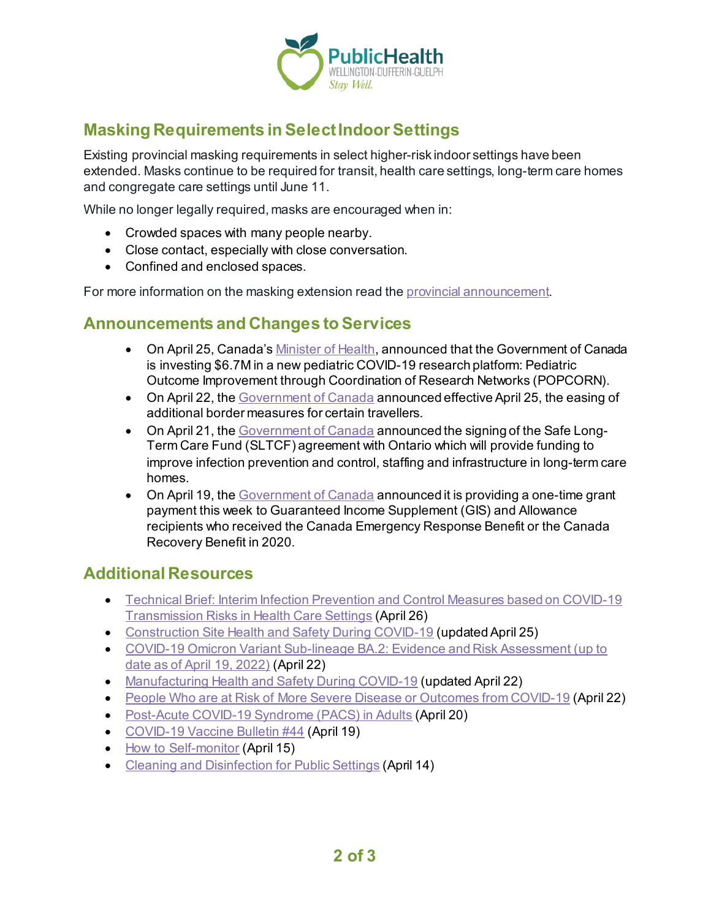

# **Masking Requirements in Select Indoor Settings**

Existing provincial masking requirements in select higher-risk indoor settings have been extended. Masks continue to be required for transit, health care settings, long-term care homes and congregate care settings until June 11.

While no longer legally required, masks are encouraged when in:

- Crowded spaces with many people nearby.
- Close contact, especially with close conversation.
- Confined and enclosed spaces.

For more information on the masking extension read th[e provincial announcement.](https://news.ontario.ca/en/release/1002098/masking-requirements-continue-in-select-indoor-settings)

### **Announcements and Changes to Services**

- On April 25, Canada'[s Minister of Health,](https://www.canada.ca/en/institutes-health-research/news/2022/04/new-investment-in-collaborative-research-will-address-the-impacts-of-covid-19-on-children-and-youth.html) announced that the Government of Canada is investing \$6.7M in a new pediatric COVID-19 research platform: Pediatric Outcome Improvement through Coordination of Research Networks (POPCORN).
- On April 22, the [Government of Canada](https://www.canada.ca/en/public-health/news/2022/04/government-of-canada-announces-additional-easing-of-border-measures-effective-april-25.html) announced effective April 25, the easing of additional border measures for certain travellers.
- On April 21, the [Government of Canada](https://www.canada.ca/en/health-canada/news/2022/04/government-of-canada-invests-more-than-379-million-to-support-canadians-living-in-long-term-care-in-ontario.html) announced the signing of the Safe Long-Term Care Fund (SLTCF) agreement with Ontario which will provide funding to improve infection prevention and control, staffing and infrastructure in long-term care homes.
- On April 19, th[e Government of Canada](https://www.canada.ca/en/employment-social-development/news/2022/04/government-of-canada-issuing-one-time-grant-payment-this-week-for-guaranteed-income-supplement-recipients-who-received-pandemic-benefits.html) announced it is providing a one-time grant payment this week to Guaranteed Income Supplement (GIS) and Allowance recipients who received the Canada Emergency Response Benefit or the Canada Recovery Benefit in 2020.

## **Additional Resources**

- [Technical Brief: Interim Infection Prevention and Control Measures based on COVID-19](https://www.publichealthontario.ca/-/media/Documents/nCoV/ipac/technical-brief-ipac-measures-transmission-risks.pdf?sc_lang=en)  [Transmission Risks in Health Care Settings](https://www.publichealthontario.ca/-/media/Documents/nCoV/ipac/technical-brief-ipac-measures-transmission-risks.pdf?sc_lang=en) (April 26)
- [Construction Site Health and Safety During COVID-19](https://www.ontario.ca/page/construction-site-health-and-safety-during-covid-19) (updated April 25)
- [COVID-19 Omicron Variant Sub-lineage BA.2: Evidence and Risk Assessment \(up to](https://www.publichealthontario.ca/-/media/Documents/nCoV/voc/covid-19-omicron-risk-assessment.pdf?sc_lang=en)  [date as of April 19, 2022\)](https://www.publichealthontario.ca/-/media/Documents/nCoV/voc/covid-19-omicron-risk-assessment.pdf?sc_lang=en) (April 22)
- [Manufacturing Health and Safety During COVID-19](https://www.ontario.ca/page/manufacturing-health-and-safety-during-covid-19) (updated April 22)
- [People Who are at Risk of More Severe Disease or Outcomes from COVID-19](https://www.canada.ca/en/public-health/services/publications/diseases-conditions/people-high-risk-for-severe-illness-covid-19.html) (April 22)
- [Post-Acute COVID-19 Syndrome \(PACS\) in Adults](https://www.publichealthontario.ca/-/media/Documents/nCoV/ipac/2022/04/post-acute-covid-syndrome-pacs.pdf?sc_lang=en) (April 20)
- [COVID-19 Vaccine Bulletin #44](https://wdgpublichealth.ca/sites/default/files/wdgph_covid-19_vaccine_bulletin_44_0.pdf) (April 19)
- [How to Self-monitor](https://www.publichealthontario.ca/-/media/Documents/nCoV/factsheet-covid-19-self-monitor.pdf?la=en&sc_lang=en&hash=8E539D05043A6775297935CEE32A8BF6) (April 15)
- [Cleaning and Disinfection for](https://www.publichealthontario.ca/-/media/Documents/nCoV/factsheet-covid-19-environmental-cleaning.pdf?la=en&sc_lang=en&hash=BBEEA3391688456A52B920483D34F6DB) Public Settings (April 14)